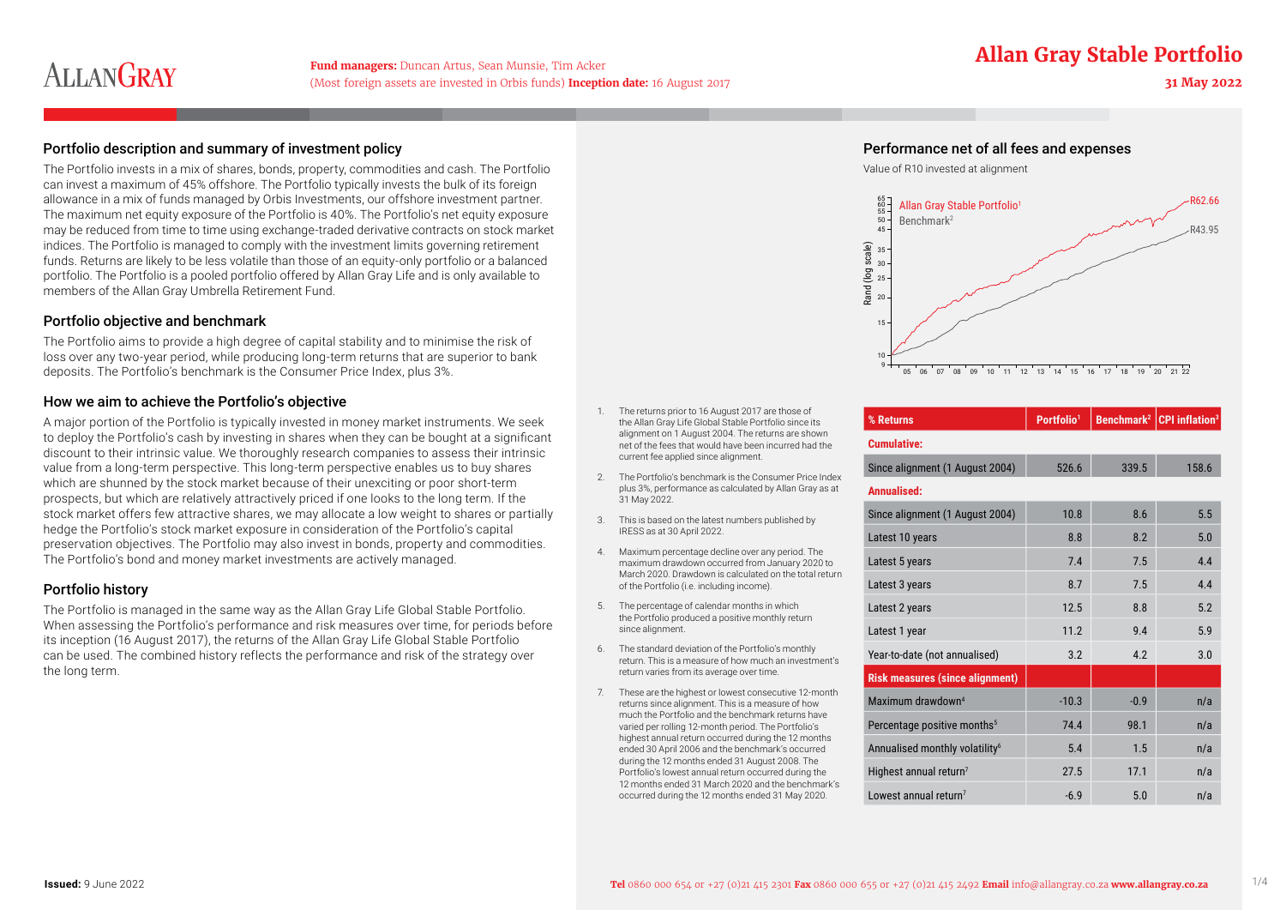## **Fund managers:** Duncan Artus, Sean Munsie, Tim Acker **Allan Gray Stable Portfolio**

# **ALLANGRAY**

(Most foreign assets are invested in Orbis funds) **Inception date:** 16 August 2017 **31 May 2022**

#### Portfolio description and summary of investment policy Performance net of all fees and expenses

The Portfolio invests in a mix of shares, bonds, property, commodities and cash. The Portfolio can invest a maximum of 45% offshore. The Portfolio typically invests the bulk of its foreign allowance in a mix of funds managed by Orbis Investments, our offshore investment partner. The maximum net equity exposure of the Portfolio is 40%. The Portfolio's net equity exposure may be reduced from time to time using exchange-traded derivative contracts on stock market indices. The Portfolio is managed to comply with the investment limits governing retirement funds. Returns are likely to be less volatile than those of an equity-only portfolio or a balanced portfolio. The Portfolio is a pooled portfolio offered by Allan Gray Life and is only available to members of the Allan Gray Umbrella Retirement Fund.

#### Portfolio objective and benchmark

The Portfolio aims to provide a high degree of capital stability and to minimise the risk of loss over any two-year period, while producing long-term returns that are superior to bank deposits. The Portfolio's benchmark is the Consumer Price Index, plus 3%.

#### How we aim to achieve the Portfolio's objective

A major portion of the Portfolio is typically invested in money market instruments. We seek to deploy the Portfolio's cash by investing in shares when they can be bought at a significant discount to their intrinsic value. We thoroughly research companies to assess their intrinsic value from a long-term perspective. This long-term perspective enables us to buy shares which are shunned by the stock market because of their unexciting or poor short-term prospects, but which are relatively attractively priced if one looks to the long term. If the stock market offers few attractive shares, we may allocate a low weight to shares or partially hedge the Portfolio's stock market exposure in consideration of the Portfolio's capital preservation objectives. The Portfolio may also invest in bonds, property and commodities. The Portfolio's bond and money market investments are actively managed.

#### Portfolio history

The Portfolio is managed in the same way as the Allan Gray Life Global Stable Portfolio. When assessing the Portfolio's performance and risk measures over time, for periods before its inception (16 August 2017), the returns of the Allan Gray Life Global Stable Portfolio can be used. The combined history reflects the performance and risk of the strategy over the long term.

- 1. The returns prior to 16 August 2017 are those of the Allan Gray Life Global Stable Portfolio since its alignment on 1 August 2004. The returns are shown net of the fees that would have been incurred had the current fee applied since alignment.
- 2. The Portfolio's benchmark is the Consumer Price Index plus 3%, performance as calculated by Allan Gray as at 31 May 2022.
- 3. This is based on the latest numbers published by IRESS as at 30 April 2022.
- 4. Maximum percentage decline over any period. The maximum drawdown occurred from January 2020 to March 2020. Drawdown is calculated on the total return of the Portfolio (i.e. including income).
- 5. The percentage of calendar months in which the Portfolio produced a positive monthly return since alignment.
- 6. The standard deviation of the Portfolio's monthly return. This is a measure of how much an investment's return varies from its average over time.
- 7. These are the highest or lowest consecutive 12-month returns since alignment. This is a measure of how much the Portfolio and the benchmark returns have varied per rolling 12-month period. The Portfolio's highest annual return occurred during the 12 months ended 30 April 2006 and the benchmark's occurred during the 12 months ended 31 August 2008. The Portfolio's lowest annual return occurred during the 12 months ended 31 March 2020 and the benchmark's occurred during the 12 months ended 31 May 2020.





| % Returns                                  | Portfolio <sup>1</sup> |                | Benchmark <sup>2</sup> CPI inflation <sup>3</sup> |
|--------------------------------------------|------------------------|----------------|---------------------------------------------------|
| <b>Cumulative:</b>                         |                        |                |                                                   |
| Since alignment (1 August 2004)            | 526.6                  | 339.5          | 158.6                                             |
| Annualised:                                |                        |                |                                                   |
| Since alignment (1 August 2004)            | 10.8                   | 86             | 5.5                                               |
| Latest 10 years                            | 8.8                    | 8.2            | 5.0                                               |
| Latest 5 years                             | 7.4                    | 7.5            | 4.4                                               |
| Latest 3 years                             | 8.7                    | 7.5            | 44                                                |
| Latest 2 years                             | 12.5                   | 8.8            | 5.2                                               |
| Latest 1 year                              | 11.2                   | 94             | 5.9                                               |
| Year-to-date (not annualised)              | 3.2                    | 42             | 3.0                                               |
| <b>Risk measures (since alignment)</b>     |                        |                |                                                   |
| Maximum drawdown <sup>4</sup>              | $-10.3$                | $-0.9$         | n/a                                               |
| Percentage positive months <sup>5</sup>    | 744                    | 98.1           | n/a                                               |
| Annualised monthly volatility <sup>6</sup> | 54                     | 1 <sub>5</sub> | n/a                                               |
| Highest annual return <sup>7</sup>         | 27.5                   | 17.1           | n/a                                               |
| Lowest annual return <sup>7</sup>          | $-6.9$                 | 5.0            | n/a                                               |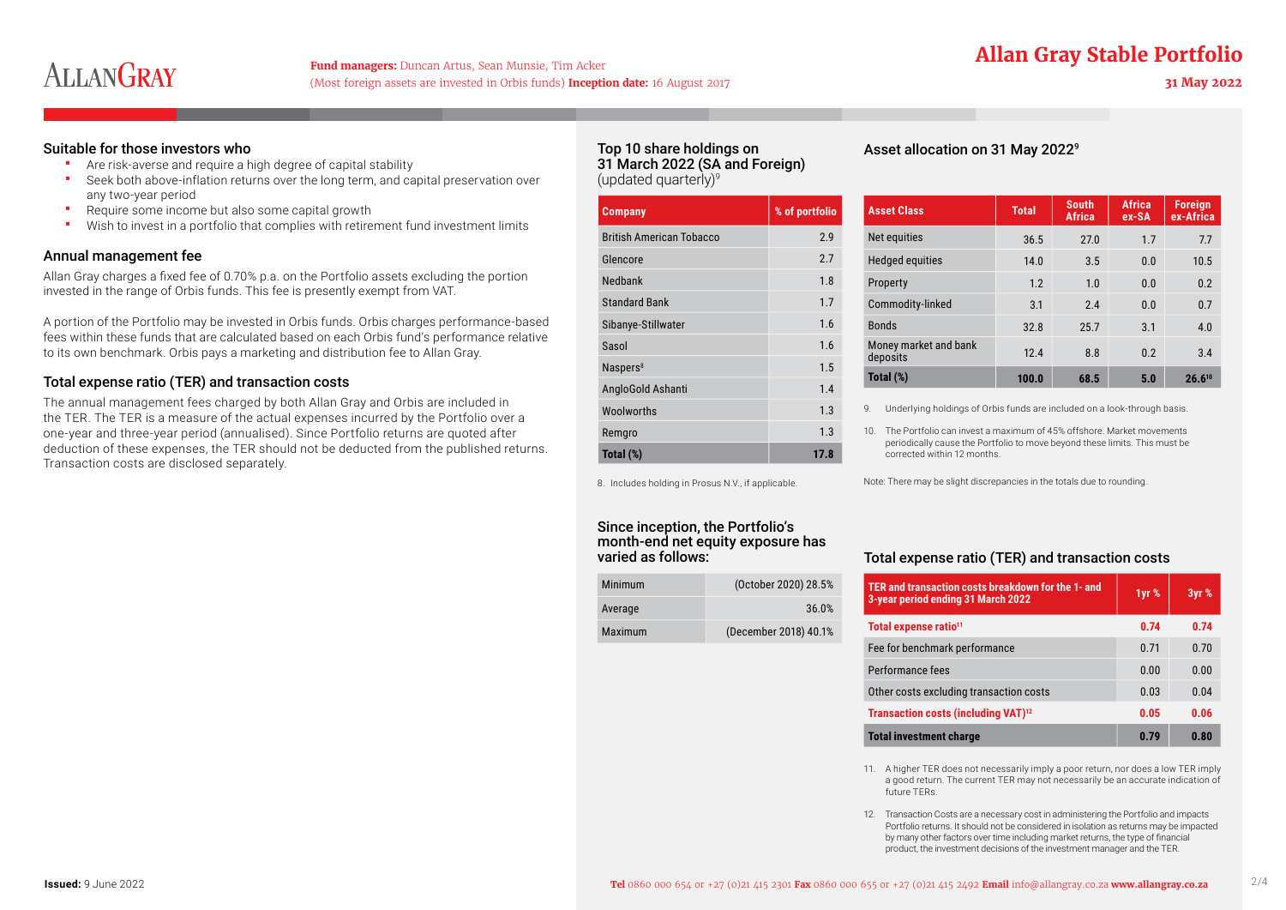## **Fund managers:** Duncan Artus, Sean Munsie, Tim Acker **Allan Gray Stable Portfolio**

# **ALLANGRAY**

### (Most foreign assets are invested in Orbis funds) **Inception date:** 16 August 2017 **31 May 2022**

#### Suitable for those investors who

- **Are risk-averse and require a high degree of capital stability**
- Seek both above-inflation returns over the long term, and capital preservation over any two-year period
- **Require some income but also some capital growth**
- Wish to invest in a portfolio that complies with retirement fund investment limits

#### Annual management fee

Allan Gray charges a fixed fee of 0.70% p.a. on the Portfolio assets excluding the portion invested in the range of Orbis funds. This fee is presently exempt from VAT.

A portion of the Portfolio may be invested in Orbis funds. Orbis charges performance-based fees within these funds that are calculated based on each Orbis fund's performance relative to its own benchmark. Orbis pays a marketing and distribution fee to Allan Gray.

#### Total expense ratio (TER) and transaction costs

The annual management fees charged by both Allan Gray and Orbis are included in the TER. The TER is a measure of the actual expenses incurred by the Portfolio over a one-year and three-year period (annualised). Since Portfolio returns are quoted after deduction of these expenses, the TER should not be deducted from the published returns. Transaction costs are disclosed separately.

#### Top 10 share holdings on 31 March 2022 (SA and Foreign) (updated quarterly) $9$

| <b>Company</b>                  | % of portfolio |
|---------------------------------|----------------|
| <b>British American Tobacco</b> | 2.9            |
| Glencore                        | 2.7            |
| Nedbank                         | 1.8            |
| <b>Standard Bank</b>            | 1.7            |
| Sibanye-Stillwater              | 1.6            |
| Sasol                           | 1.6            |
| Naspers <sup>8</sup>            | 1.5            |
| AngloGold Ashanti               | 1.4            |
| Woolworths                      | 1.3            |
| Remgro                          | 1.3            |
| Total (%)                       | 17.8           |

Asset allocation on 31 May 20229

| <b>Asset Class</b>                | <b>Total</b> | <b>South</b><br><b>Africa</b> | <b>Africa</b><br>ex-SA | <b>Foreign</b><br>ex-Africa |
|-----------------------------------|--------------|-------------------------------|------------------------|-----------------------------|
| Net equities                      | 36.5         | 27.0                          | 17                     | 7.7                         |
| <b>Hedged equities</b>            | 14.0         | 3.5                           | 0 <sub>0</sub>         | 10.5                        |
| Property                          | 1.2          | 1.0                           | 0 <sub>0</sub>         | 0.2                         |
| Commodity-linked                  | 3.1          | 24                            | 0 <sub>0</sub>         | 0.7                         |
| <b>Bonds</b>                      | 32.8         | 257                           | 3 <sub>1</sub>         | 4.0                         |
| Money market and bank<br>deposits | 124          | 8.8                           | 0 <sub>2</sub>         | 3.4                         |
| Total (%)                         | 100.0        | 68.5                          | 5.0                    | $26.6^{10}$                 |

9. Underlying holdings of Orbis funds are included on a look-through basis.

10. The Portfolio can invest a maximum of 45% offshore. Market movements periodically cause the Portfolio to move beyond these limits. This must be corrected within 12 months.

Note: There may be slight discrepancies in the totals due to rounding.

### Total expense ratio (TER) and transaction costs

| TER and transaction costs breakdown for the 1- and<br>3-year period ending 31 March 2022 | 1yr % | 3yr % |
|------------------------------------------------------------------------------------------|-------|-------|
| Total expense ratio <sup>11</sup>                                                        | 0.74  | 0.74  |
| Fee for benchmark performance                                                            | 071   | 070   |
| Performance fees                                                                         | 0.00  | 0.00  |
| Other costs excluding transaction costs                                                  | 0.03  | 0.04  |
| Transaction costs (including VAT) <sup>12</sup>                                          | 0.05  | 0.06  |
| <b>Total investment charge</b>                                                           | 0.79  | 0.80  |

11. A higher TER does not necessarily imply a poor return, nor does a low TER imply a good return. The current TER may not necessarily be an accurate indication of future TERs.

12. Transaction Costs are a necessary cost in administering the Portfolio and impacts Portfolio returns. It should not be considered in isolation as returns may be impacted by many other factors over time including market returns, the type of financial product, the investment decisions of the investment manager and the TER.

8. Includes holding in Prosus N.V., if applicable.

#### Since inception, the Portfolio's month-end net equity exposure has varied as follows:

| Minimum | (October 2020) 28.5%  |
|---------|-----------------------|
| Average | 36.0%                 |
| Maximum | (December 2018) 40.1% |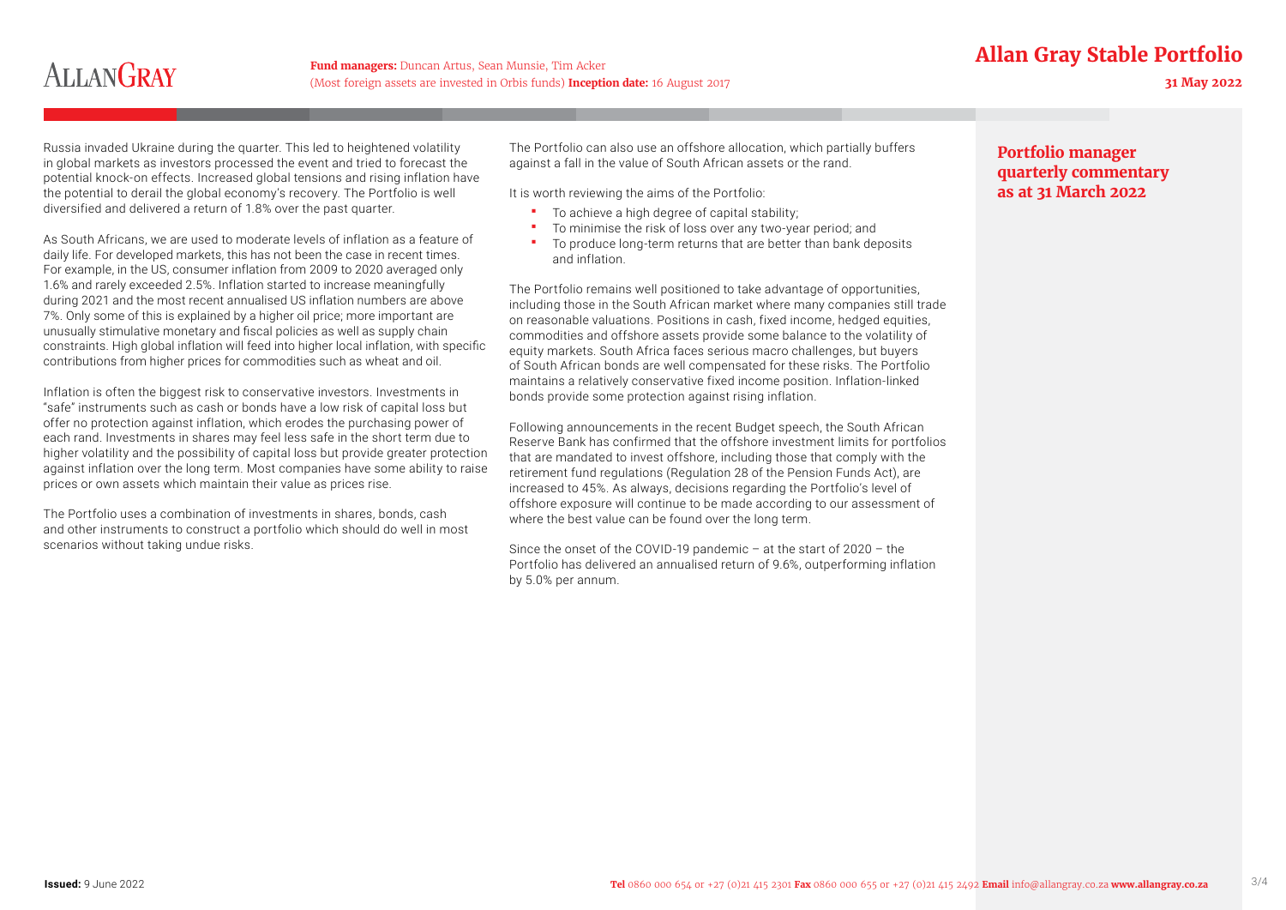### **Fund managers:** Duncan Artus, Sean Munsie, Tim Acker **Allan Gray Stable Portfolio**

# **ALLANGRAY**

(Most foreign assets are invested in Orbis funds) **Inception date:** 16 August 2017 **31 May 2022**

Russia invaded Ukraine during the quarter. This led to heightened volatility in global markets as investors processed the event and tried to forecast the potential knock-on effects. Increased global tensions and rising inflation have the potential to derail the global economy's recovery. The Portfolio is well diversified and delivered a return of 1.8% over the past quarter.

As South Africans, we are used to moderate levels of inflation as a feature of daily life. For developed markets, this has not been the case in recent times. For example, in the US, consumer inflation from 2009 to 2020 averaged only 1.6% and rarely exceeded 2.5%. Inflation started to increase meaningfully during 2021 and the most recent annualised US inflation numbers are above 7%. Only some of this is explained by a higher oil price; more important are unusually stimulative monetary and fiscal policies as well as supply chain constraints. High global inflation will feed into higher local inflation, with specific contributions from higher prices for commodities such as wheat and oil.

Inflation is often the biggest risk to conservative investors. Investments in "safe" instruments such as cash or bonds have a low risk of capital loss but offer no protection against inflation, which erodes the purchasing power of each rand. Investments in shares may feel less safe in the short term due to higher volatility and the possibility of capital loss but provide greater protection against inflation over the long term. Most companies have some ability to raise prices or own assets which maintain their value as prices rise.

The Portfolio uses a combination of investments in shares, bonds, cash and other instruments to construct a portfolio which should do well in most scenarios without taking undue risks.

The Portfolio can also use an offshore allocation, which partially buffers against a fall in the value of South African assets or the rand.

It is worth reviewing the aims of the Portfolio:

- To achieve a high degree of capital stability;
- To minimise the risk of loss over any two-year period; and
- To produce long-term returns that are better than bank deposits and inflation.

The Portfolio remains well positioned to take advantage of opportunities, including those in the South African market where many companies still trade on reasonable valuations. Positions in cash, fixed income, hedged equities, commodities and offshore assets provide some balance to the volatility of equity markets. South Africa faces serious macro challenges, but buyers of South African bonds are well compensated for these risks. The Portfolio maintains a relatively conservative fixed income position. Inflation-linked bonds provide some protection against rising inflation.

Following announcements in the recent Budget speech, the South African Reserve Bank has confirmed that the offshore investment limits for portfolios that are mandated to invest offshore, including those that comply with the retirement fund regulations (Regulation 28 of the Pension Funds Act), are increased to 45%. As always, decisions regarding the Portfolio's level of offshore exposure will continue to be made according to our assessment of where the best value can be found over the long term.

Since the onset of the COVID-19 pandemic – at the start of 2020 – the Portfolio has delivered an annualised return of 9.6%, outperforming inflation by 5.0% per annum.

#### **Portfolio manager quarterly commentary as at 31 March 2022**